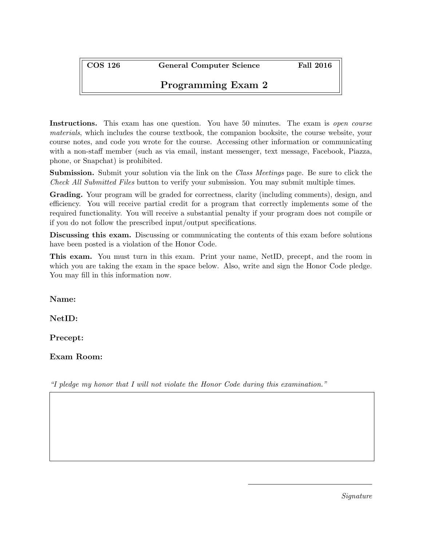COS 126 General Computer Science Fall 2016

## Programming Exam 2

Instructions. This exam has one question. You have 50 minutes. The exam is *open course* materials, which includes the course textbook, the companion booksite, the course website, your course notes, and code you wrote for the course. Accessing other information or communicating with a non-staff member (such as via email, instant messenger, text message, Facebook, Piazza, phone, or Snapchat) is prohibited.

**Submission.** Submit your solution via the link on the *Class Meetings* page. Be sure to click the Check All Submitted Files button to verify your submission. You may submit multiple times.

Grading. Your program will be graded for correctness, clarity (including comments), design, and efficiency. You will receive partial credit for a program that correctly implements some of the required functionality. You will receive a substantial penalty if your program does not compile or if you do not follow the prescribed input/output specifications.

Discussing this exam. Discussing or communicating the contents of this exam before solutions have been posted is a violation of the Honor Code.

This exam. You must turn in this exam. Print your name, NetID, precept, and the room in which you are taking the exam in the space below. Also, write and sign the Honor Code pledge. You may fill in this information now.

Name:

NetID:

Precept:

Exam Room:

"I pledge my honor that I will not violate the Honor Code during this examination."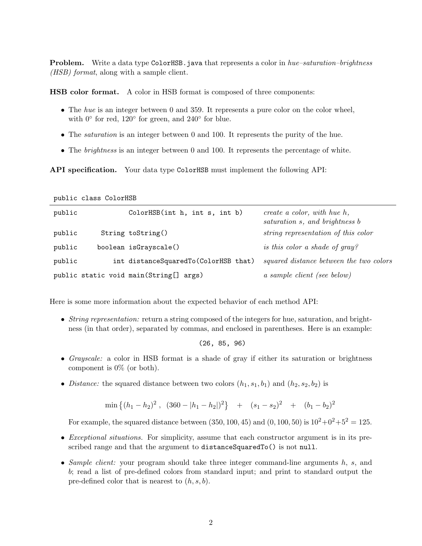**Problem.** Write a data type ColorHSB.java that represents a color in hue–saturation–brightness (HSB) format, along with a sample client.

HSB color format. A color in HSB format is composed of three components:

- The hue is an integer between 0 and 359. It represents a pure color on the color wheel, with  $0^{\circ}$  for red,  $120^{\circ}$  for green, and  $240^{\circ}$  for blue.
- The *saturation* is an integer between 0 and 100. It represents the purity of the hue.
- The *brightness* is an integer between 0 and 100. It represents the percentage of white.

API specification. Your data type ColorHSB must implement the following API:

public class ColorHSB

| public | ColorHSB(int h, int s, int b)          | create a color, with hue $h$ ,<br>saturation s, and brightness b |
|--------|----------------------------------------|------------------------------------------------------------------|
| public | String toString()                      | string representation of this color                              |
| public | boolean isGrayscale()                  | is this color a shade of gray?                                   |
| public | int distanceSquaredTo(ColorHSB that)   | squared distance between the two colors                          |
|        | public static void main(String[] args) | a sample client (see below)                                      |

Here is some more information about the expected behavior of each method API:

• String representation: return a string composed of the integers for hue, saturation, and brightness (in that order), separated by commas, and enclosed in parentheses. Here is an example:

(26, 85, 96)

- Grayscale: a color in HSB format is a shade of gray if either its saturation or brightness component is 0% (or both).
- Distance: the squared distance between two colors  $(h_1, s_1, b_1)$  and  $(h_2, s_2, b_2)$  is

$$
\min\left\{ (h_1 - h_2)^2 \ , \ (360 - |h_1 - h_2|)^2 \right\} \ + \ (s_1 - s_2)^2 \ + \ (b_1 - b_2)^2
$$

For example, the squared distance between (350, 100, 45) and (0, 100, 50) is  $10^2 + 0^2 + 5^2 = 125$ .

- Exceptional situations. For simplicity, assume that each constructor argument is in its prescribed range and that the argument to distanceSquaredTo() is not null.
- Sample client: your program should take three integer command-line arguments h, s, and b; read a list of pre-defined colors from standard input; and print to standard output the pre-defined color that is nearest to  $(h, s, b)$ .